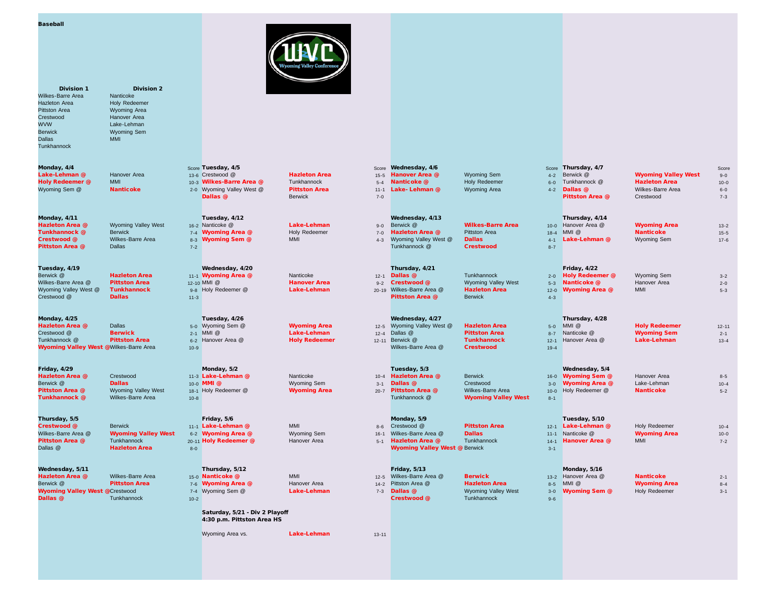**Division 1** Division 2 Wilkes-Barre Area<br>Hazleton Area Hazleton Area **Holy Redeemer**<br>Pittston Area **Holy Redeemer** Pittston Area Wyoming Area<br>Crectured Happyor Area Crestwood Hanover Area<br>
WVW Lake-Lehman WVW Lake-Lehman<br>Berwick Wyoming Sem Berwick Wyoming Sem Dallas MMI **Tunkhannock** 

Tuesday, 4/19 Wednesday, 4/20 Thursday, 4/21 Friday, 4/22 Berwick @ **Hazleton Area 11-1 Wyoming Area @** Nanticoke 12-1 Dallas @ Tunkhannock 2-0 Holy Redeemer @ Wyoming Sem 3-2 Wilkes-Barre Area **@ Pittston Area 12-10 MMI @ Hanover Area 12-3 Crestwood @** Wyoming Valley West 5-3 Nanticoke @ Hanover Area 2-0 2-0 Wyoming Valley West @ Tunkhannock 9-8 Holy Redeemer @ Lake-Lehman 20-19 Wilkes-Barre Area @ Hazleton Area 12-0 Wyoming Area @ MMI 5-3 Crestwood @ Pallas 2008 **Dallas** 2008 11-3 Pittston Area @ Berwick 4-3 Pittston Area @ Berwick 4-3

Monday, 4/25 Tuesday, 4/26 Wednesday, 4/27 Thursday, 4/28 Hazleton Area @ Dallas **5-0 Wyoming Sem @ Wyoming Area** 12-5 Wyoming Valley West @ Hazleton Area 5-0 MMI @ Holy Redeemer 12-11 Crestwood @ Berwick 2-1 MMI @ Lake-Lehman 2-4 Dallas @ Pittston Area 8-7 Nanticoke @ Wyoming Sem 2-1 Tunkhannock @ Pittston Area 6-2 Hanover Area @ Holy Redeemer 12-11 Berwick @ Tunkhannock 12-1 Hanover Area @ Lake-Lehman 13-4 Wyoming Valley West @ Wilkes-Barre Area 10-9 Wilkes-Barre Area @ Crestwood 19-4

**Tunkhannock @** Wilkes-Barre Area 10-8 10-8 10-9 Tunkhannock @ Wyoming Valley West 8-1

Thursday, 5/5 Friday, 5/6 Monday, 5/9 Tuesday, 5/10

Wednesday, 5/11 Thursday, 5/12 Friday, 5/13 Monday, 5/16 **Wyoming Valley West @** Crestwood **1996 of the Take-Lehman 1996** 7-3 Dallas @ Wyoming Valley West 3-0 Wyoming Sem @ Holy Redeemer 3-1 3-1<br>Dallas @ Tunkhannock 10-2 10-2 10-2 **Dallas @** Tunkhannock 10-2 10-2 Crestwood @ Tunkhannock 9-6 Crestwood 2006 10-2 Punkhannock 9-6

Tunkhannock @ Berwick **1998 Manticoke** 7-4 Wyoming Area @ Holy Redeemer 7-0 Hazleton Area @ Pittston Area 18-4 MMI @ Nanticoke 15-5

Crestwood @ Berwick 11-1 Lake-Lehman @ MMI 8-6 Crestwood @ Pittston Area 12-1 Lake-Lehman @ Holy Redeemer 10-4 Dallas @ **Hazleton Area 88-0 Wyoming Valley West @ Berwick 3-1** Berwick 3-1 Wyoming Valley West @ Berwick 3-1

Saturday, 5/21 - Div 2 Playoff 4:30 p.m. Pittston Area HS

Wyoming Area vs. **Lake-Lehman** 13-11

Monday, 4/4 Share Monday, 4/6 Score Tuesday, 4/5 Score Wednesday, 4/6 Score Wednesday, 4/6 Score Thursday, 4/7 Score Thursday, 4/7 Score Thursday, 4/7 Score Thursday, 4/7 Score Thursday, 4/7 Score Thursday, 4/7 Score Thur Lake-Lehman @ Hanover Area 13-6 Crestwood @ Hazleton Area 15-5 Hanover Area @ Wyoming Sem 14-2 Berwick @ Wyoming Valley West 9-0 Holy Redeemer @ MMI 10-3 Wilkes-Barre Area @ Tunkhannock 5-4 Nanticoke @ Holy Redeemer 6-0 Tunkhannock @ Hazleton Area 10-0

Monday, 4/11 Tuesday, 4/12 Wednesday, 4/13 Thursday, 4/14 Hazleton Area @ Wyoming Valley West 16-2 Nanticoke @ Lake-Lehman 9-0 Berwick @ Wilkes-Barre Area 10-0 Hanover Area Wyoming Area 13-2

Crestwood @ Wilkes-Barre Area 8-3 Wyoming Sem @ MMI 4-3 Wyoming Valley West @ Dallas 4-1 Lake-Lehman @ Wyoming Sem 17-6 **Pittston Area @** Dallas **2.2 Tunkhannock @ Crestwood 8-7** Tunkhannock @ Crestwood 8-7 Second 8-7 Second 8-7 Second 8-7 Second 8-7 Second 8-7 Second 8-7 Second 8-7 Second 8-7 Second 8-7 Second 8-7 Second 8-7 Second 8-7 Sec

Friday, 4/29 Monday, 5/2 Tuesday, 5/3 Wednesday, 5/4

Hazleton Area @ Wilkes-Barre Area 15-0 Nanticoke @ MMI 12-5 Wilkes-Barre Area @ Berwick 13-2 Hanover Area @ Nanticoke 2-1 Berwick @ Pittston Area 7-6 Wyoming Area @ Hanover Area 14-2 Pittston Area @ Hazleton Area 8-5 MMI @ Wyoming Area 8-4



Wilkes-Barre Area @ Wyoming Valley West 6-2 Wyoming Area @ Wyoming Sem 16-1 Wilkes-Barre Area @ Dallas 11-1 Nanticoke @ Wyoming Area 10-0 Pittston Area @ Tunkhannock 20-11 Holy Redeemer @ Hanover Area 35-1 Hazleton Area @ Tunkhannock 14-1 Hanover Area @ MMI 7-2

Hazleton Area @ Crestwood 11-3 Lake-Lehman @ Nanticoke 10-4 Hazleton Area @ Berwick 16-0 Wyoming Sem @ Hanover Area 8-5

Berwick @ Dallas 10-0 MMI @ Wyoming Sem 3-1 Dallas @ Crestwood 3-0 Wyoming Area @ Lake-Lehman 10-4 **Pittston Area @** Wyoming Valley West 18-1 Holy Redeemer @ Wyoming Area 20-7 Pittston Area @ Wilkes-Barre Area 10-0 Holy Redeemer @ Nanticoke 5-2